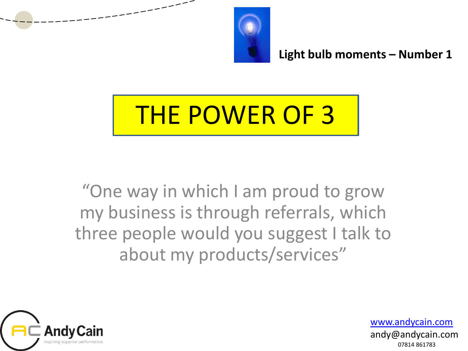

# THE POWER OF 3

"One way in which I am proud to grow my business is through referrals, which three people would you suggest I talk to about my products/services"

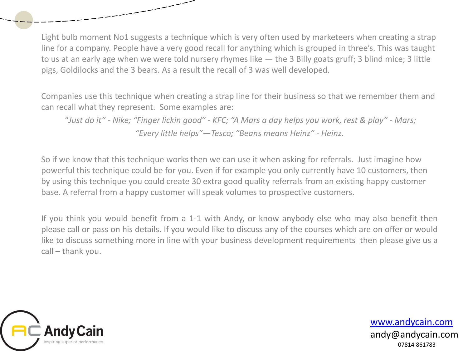Light bulb moment No1 suggests a technique which is very often used by marketeers when creating a strap line for a company. People have a very good recall for anything which is grouped in three's. This was taught to us at an early age when we were told nursery rhymes like — the 3 Billy goats gruff; 3 blind mice; 3 little pigs, Goldilocks and the 3 bears. As a result the recall of 3 was well developed.

Companies use this technique when creating a strap line for their business so that we remember them and can recall what they represent. Some examples are:

"*Just do it" - Nike; "Finger lickin good" - KFC; "A Mars a day helps you work, rest & play" - Mars; "Every little helps"—Tesco; "Beans means Heinz" - Heinz.*

So if we know that this technique works then we can use it when asking for referrals. Just imagine how powerful this technique could be for you. Even if for example you only currently have 10 customers, then by using this technique you could create 30 extra good quality referrals from an existing happy customer base. A referral from a happy customer will speak volumes to prospective customers.

If you think you would benefit from a 1-1 with Andy, or know anybody else who may also benefit then please call or pass on his details. If you would like to discuss any of the courses which are on offer or would like to discuss something more in line with your business development requirements then please give us a call – thank you.

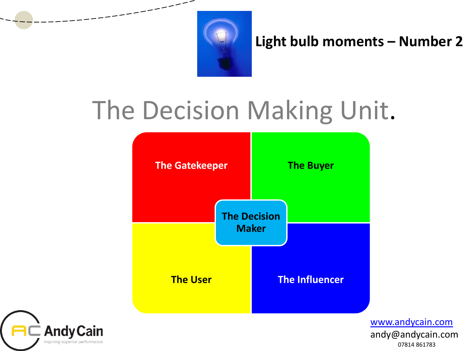

## The Decision Making Unit.



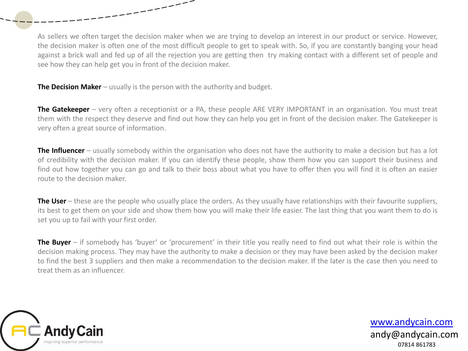As sellers we often target the decision maker when we are trying to develop an interest in our product or service. However, the decision maker is often one of the most difficult people to get to speak with. So, if you are constantly banging your head against a brick wall and fed up of all the rejection you are getting then try making contact with a different set of people and see how they can help get you in front of the decision maker.

**The Decision Maker** – usually is the person with the authority and budget.

**The Gatekeeper** – very often a receptionist or a PA, these people ARE VERY IMPORTANT in an organisation. You must treat them with the respect they deserve and find out how they can help you get in front of the decision maker. The Gatekeeper is very often a great source of information.

**The Influencer** – usually somebody within the organisation who does not have the authority to make a decision but has a lot of credibility with the decision maker. If you can identify these people, show them how you can support their business and find out how together you can go and talk to their boss about what you have to offer then you will find it is often an easier route to the decision maker.

**The User** – these are the people who usually place the orders. As they usually have relationships with their favourite suppliers, its best to get them on your side and show them how you will make their life easier. The last thing that you want them to do is set you up to fail with your first order.

**The Buyer** – if somebody has 'buyer' or 'procurement' in their title you really need to find out what their role is within the decision making process. They may have the authority to make a decision or they may have been asked by the decision maker to find the best 3 suppliers and then make a recommendation to the decision maker. If the later is the case then you need to treat them as an influencer.

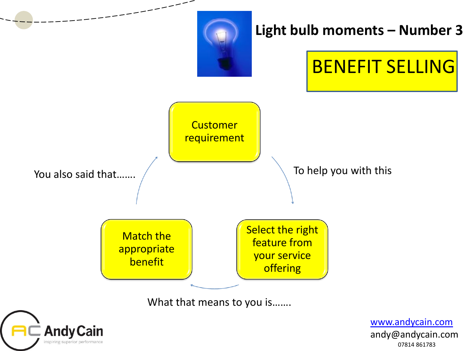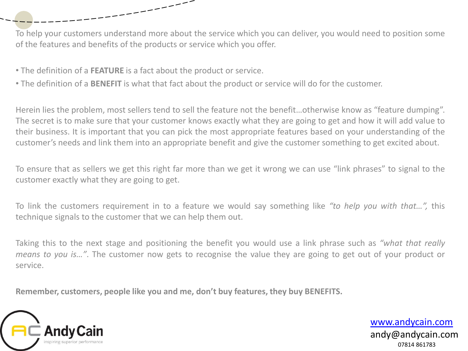To help your customers understand more about the service which you can deliver, you would need to position some of the features and benefits of the products or service which you offer.

• The definition of a **FEATURE** is a fact about the product or service.

\_\_\_\_\_\_\_\_\_

• The definition of a **BENEFIT** is what that fact about the product or service will do for the customer.

Herein lies the problem, most sellers tend to sell the feature not the benefit…otherwise know as "feature dumping". The secret is to make sure that your customer knows exactly what they are going to get and how it will add value to their business. It is important that you can pick the most appropriate features based on your understanding of the customer's needs and link them into an appropriate benefit and give the customer something to get excited about.

To ensure that as sellers we get this right far more than we get it wrong we can use "link phrases" to signal to the customer exactly what they are going to get.

To link the customers requirement in to a feature we would say something like *"to help you with that…",* this technique signals to the customer that we can help them out.

Taking this to the next stage and positioning the benefit you would use a link phrase such as *"what that really means to you is…"*. The customer now gets to recognise the value they are going to get out of your product or service.

**Remember, customers, people like you and me, don't buy features, they buy BENEFITS.**

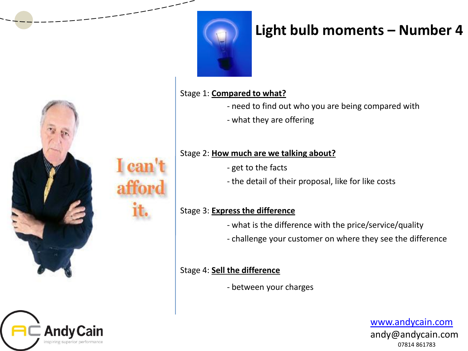

Stage 1: **Compared to what?**

- need to find out who you are being compared with
- what they are offering

#### Stage 2: **How much are we talking about?**

- get to the facts
- the detail of their proposal, like for like costs

#### Stage 3: **Express the difference**

- what is the difference with the price/service/quality
- challenge your customer on where they see the difference

#### Stage 4: **Sell the difference**

- between your charges

[www.andycain.com](http://www.andycain.com/) andy@andycain.com 07814 861783



**Andy Cain**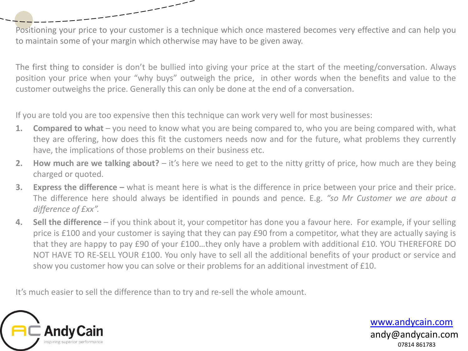Positioning your price to your customer is a technique which once mastered becomes very effective and can help you to maintain some of your margin which otherwise may have to be given away.

The first thing to consider is don't be bullied into giving your price at the start of the meeting/conversation. Always position your price when your "why buys" outweigh the price, in other words when the benefits and value to the customer outweighs the price. Generally this can only be done at the end of a conversation.

If you are told you are too expensive then this technique can work very well for most businesses:

----------

- **1. Compared to what** you need to know what you are being compared to, who you are being compared with, what they are offering, how does this fit the customers needs now and for the future, what problems they currently have, the implications of those problems on their business etc.
- **2. How much are we talking about?** it's here we need to get to the nitty gritty of price, how much are they being charged or quoted.
- **3. Express the difference –** what is meant here is what is the difference in price between your price and their price. The difference here should always be identified in pounds and pence. E.g. *"so Mr Customer we are about a difference of £xx".*
- **4. Sell the difference** if you think about it, your competitor has done you a favour here. For example, if your selling price is £100 and your customer is saying that they can pay £90 from a competitor, what they are actually saying is that they are happy to pay £90 of your £100…they only have a problem with additional £10. YOU THEREFORE DO NOT HAVE TO RE-SELL YOUR £100. You only have to sell all the additional benefits of your product or service and show you customer how you can solve or their problems for an additional investment of £10.

It's much easier to sell the difference than to try and re-sell the whole amount.

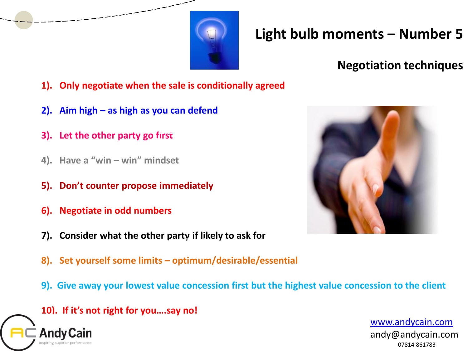

### **Negotiation techniques**

- **1). Only negotiate when the sale is conditionally agreed**
- **2). Aim high – as high as you can defend**
- **3).** Let the other party go first Where, When, How.
- **4). Have a "win – win" mindset**
- **5). Don't counter propose immediately**
- **6). Negotiate in odd numbers**
- **7). Consider what the other party if likely to ask for**
- **8). Set yourself some limits – optimum/desirable/essential**
- **9). Give away your lowest value concession first but the highest value concession to the client**

**10). If it's not right for you….say no!**



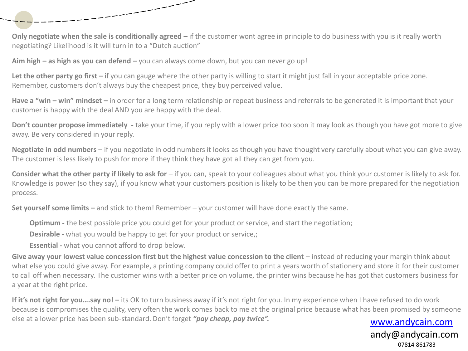

**Aim high – as high as you can defend –** you can always come down, but you can never go up!

-----------

Let the other party go first – if you can gauge where the other party is willing to start it might just fall in your acceptable price zone. Remember, customers don't always buy the cheapest price, they buy perceived value.

**Have a "win – win" mindset –** in order for a long term relationship or repeat business and referrals to be generated it is important that your customer is happy with the deal AND you are happy with the deal.

**Don't counter propose immediately -** take your time, if you reply with a lower price too soon it may look as though you have got more to give away. Be very considered in your reply.

**Negotiate in odd numbers** – if you negotiate in odd numbers it looks as though you have thought very carefully about what you can give away. The customer is less likely to push for more if they think they have got all they can get from you.

**Consider what the other party if likely to ask for** – if you can, speak to your colleagues about what you think your customer is likely to ask for. Knowledge is power (so they say), if you know what your customers position is likely to be then you can be more prepared for the negotiation process.

**Set yourself some limits –** and stick to them! Remember – your customer will have done exactly the same.

**Optimum** - the best possible price you could get for your product or service, and start the negotiation;

**Desirable -** what you would be happy to get for your product or service,;

**Essential -** what you cannot afford to drop below.

Give away your lowest value concession first but the highest value concession to the client – instead of reducing your margin think about what else you could give away. For example, a printing company could offer to print a years worth of stationery and store it for their customer to call off when necessary. The customer wins with a better price on volume, the printer wins because he has got that customers business for a year at the right price.

[www.andycain.com](http://www.andycain.com/) **If it's not right for you….say no! –** its OK to turn business away if it's not right for you. In my experience when I have refused to do work because is compromises the quality, very often the work comes back to me at the original price because what has been promised by someone else at a lower price has been sub-standard. Don't forget *"pay cheap, pay twice".*

andy@andycain.com 07814 861783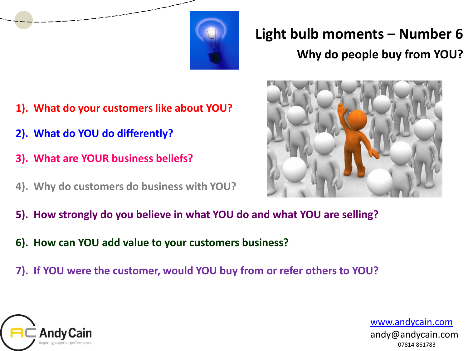

## **Light bulb moments – Number 6 Why do people buy from YOU?**

- **1). What do your customers like about YOU?**
- **2). What do YOU do differently? Where, When, How.**
- **3). What are YOUR business beliefs?**
- **4). Why do customers do business with YOU?**



- **5). How strongly do you believe in what YOU do and what YOU are selling?**
- **6). How can YOU add value to your customers business?**
- **7). If YOU were the customer, would YOU buy from or refer others to YOU?**

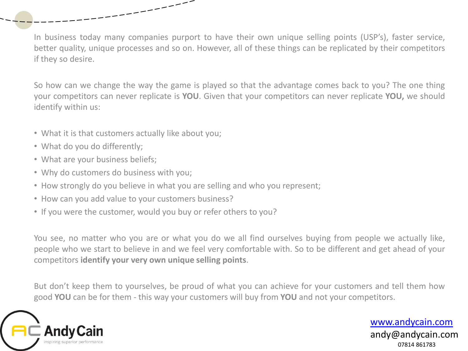In business today many companies purport to have their own unique selling points (USP's), faster service, better quality, unique processes and so on. However, all of these things can be replicated by their competitors if they so desire.

So how can we change the way the game is played so that the advantage comes back to you? The one thing your competitors can never replicate is **YOU**. Given that your competitors can never replicate **YOU,** we should identify within us:

- What it is that customers actually like about you;
- What do you do differently;
- What are your business beliefs;
- Why do customers do business with you;
- How strongly do you believe in what you are selling and who you represent;

أسسسسسب

- How can you add value to your customers business?
- If you were the customer, would you buy or refer others to you?

You see, no matter who you are or what you do we all find ourselves buying from people we actually like, people who we start to believe in and we feel very comfortable with. So to be different and get ahead of your competitors **identify your very own unique selling points**.

But don't keep them to yourselves, be proud of what you can achieve for your customers and tell them how good **YOU** can be for them - this way your customers will buy from **YOU** and not your competitors.

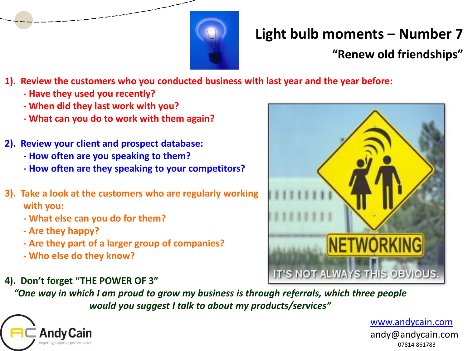

### **"Renew old friendships"**

- **1). Review the customers who you conducted business with last year and the year before:**
	- **- Have they used you recently?**
	- **- When did they last work with you?**
	- **- What can you do to work with them again?**
- **2). Review your client and prospect database:** 
	- **- How often are you speaking to them?**
	- **- How often are they speaking to your competitors?**
- **3). Take a look at the customers who are regularly working with you:** 
	- **- What else can you do for them?**
	- **- Are they happy?**
	- **-** Are they part of a larger group of companies? **Do you, etc**
	- **- Who else do they know?**
- **4). Don't forget "THE POWER OF 3"**

*"One way in which I am proud to grow my business is through referrals, which three people would you suggest I talk to about my products/services"*



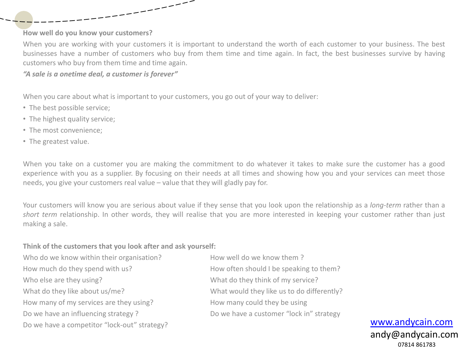#### **How well do you know your customers?**

When you are working with your customers it is important to understand the worth of each customer to your business. The best businesses have a number of customers who buy from them time and time again. In fact, the best businesses survive by having customers who buy from them time and time again.

#### *"A sale is a onetime deal, a customer is forever"*

When you care about what is important to your customers, you go out of your way to deliver:

- The best possible service;
- The highest quality service;
- The most convenience;
- The greatest value.

When you take on a customer you are making the commitment to do whatever it takes to make sure the customer has a good experience with you as a supplier. By focusing on their needs at all times and showing how you and your services can meet those needs, you give your customers real value – value that they will gladly pay for.

Your customers will know you are serious about value if they sense that you look upon the relationship as a *long-term* rather than a *short term* relationship. In other words, they will realise that you are more interested in keeping your customer rather than just making a sale.

#### **Think of the customers that you look after and ask yourself:**

Who do we know within their organisation? How well do we know them ? How much do they spend with us? How often should I be speaking to them? Who else are they using? The same of the what do they think of my service? What do they like about us/me? What would they like us to do differently? How many of my services are they using? How many could they be using Do we have an influencing strategy ? Do we have a customer "lock in" strategy Do we have a competitor "lock-out" strategy?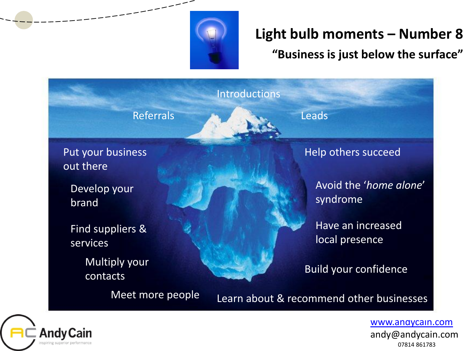

**"Business is just below the surface"** 



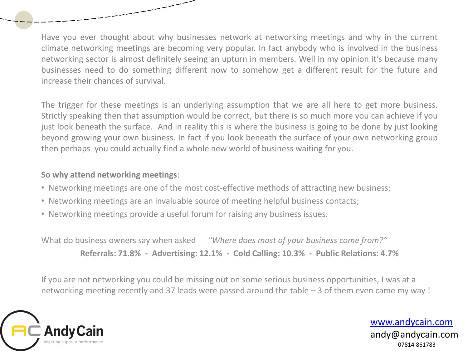Have you ever thought about why businesses network at networking meetings and why in the current climate networking meetings are becoming very popular. In fact anybody who is involved in the business networking sector is almost definitely seeing an upturn in members. Well in my opinion it's because many businesses need to do something different now to somehow get a different result for the future and increase their chances of survival.

The trigger for these meetings is an underlying assumption that we are all here to get more business. Strictly speaking then that assumption would be correct, but there is so much more you can achieve if you just look beneath the surface. And in reality this is where the business is going to be done by just looking beyond growing your own business. In fact if you look beneath the surface of your own networking group then perhaps you could actually find a whole new world of business waiting for you.

#### **So why attend networking meetings**:

- Networking meetings are one of the most cost-effective methods of attracting new business;
- Networking meetings are an invaluable source of meeting helpful business contacts;
- Networking meetings provide a useful forum for raising any business issues.

---

What do business owners say when asked *"Where does most of your business come from?"* **Referrals: 71.8% - Advertising: 12.1% - Cold Calling: 10.3% - Public Relations: 4.7%**

If you are not networking you could be missing out on some serious business opportunities, I was at a networking meeting recently and 37 leads were passed around the table – 3 of them even came my way !

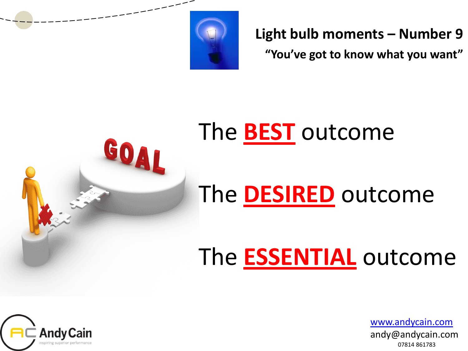

**"You've got to know what you want"** 

# Go out there Develop your brand

## Avoid the '*home alone*' The **DESIRED** outcome The **BEST** outcome

## contacts Build your contact of the second state of the second state  $\sim$ The **ESSENTIAL** outcome

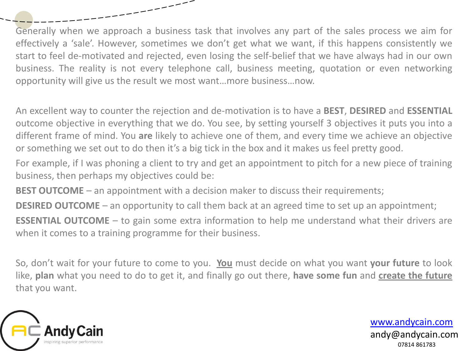Generally when we approach a business task that involves any part of the sales process we aim for effectively a 'sale'. However, sometimes we don't get what we want, if this happens consistently we start to feel de-motivated and rejected, even losing the self-belief that we have always had in our own business. The reality is not every telephone call, business meeting, quotation or even networking opportunity will give us the result we most want…more business…now.

An excellent way to counter the rejection and de-motivation is to have a **BEST**, **DESIRED** and **ESSENTIAL** outcome objective in everything that we do. You see, by setting yourself 3 objectives it puts you into a different frame of mind. You **are** likely to achieve one of them, and every time we achieve an objective or something we set out to do then it's a big tick in the box and it makes us feel pretty good.

For example, if I was phoning a client to try and get an appointment to pitch for a new piece of training business, then perhaps my objectives could be:

**BEST OUTCOME** – an appointment with a decision maker to discuss their requirements;

----------

**DESIRED OUTCOME** – an opportunity to call them back at an agreed time to set up an appointment;

**ESSENTIAL OUTCOME** – to gain some extra information to help me understand what their drivers are when it comes to a training programme for their business.

So, don't wait for your future to come to you. **You** must decide on what you want **your future** to look like, **plan** what you need to do to get it, and finally go out there, **have some fun** and **create the future** that you want.

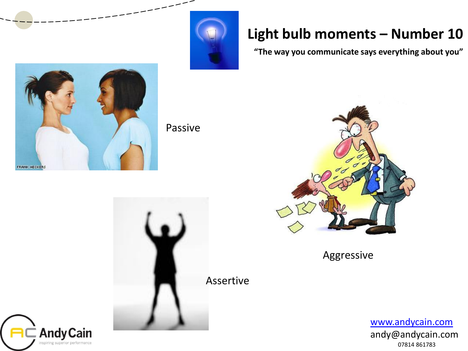

**"The way you communicate says everything about you"** 



Passive





Aggressive

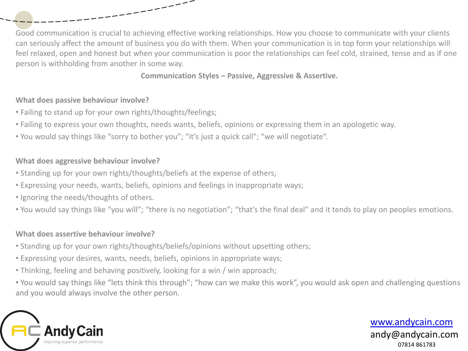Good communication is crucial to achieving effective working relationships. How you choose to communicate with your clients can seriously affect the amount of business you do with them. When your communication is in top form your relationships will feel relaxed, open and honest but when your communication is poor the relationships can feel cold, strained, tense and as if one person is withholding from another in some way.

**Communication Styles – Passive, Aggressive & Assertive.** 

#### **What does passive behaviour involve?**

- Failing to stand up for your own rights/thoughts/feelings;
- Failing to express your own thoughts, needs wants, beliefs, opinions or expressing them in an apologetic way.
- You would say things like "sorry to bother you"; "it's just a quick call"; "we will negotiate".

استستست

#### **What does aggressive behaviour involve?**

- Standing up for your own rights/thoughts/beliefs at the expense of others;
- Expressing your needs, wants, beliefs, opinions and feelings in inappropriate ways;
- Ignoring the needs/thoughts of others.
- You would say things like "you will"; "there is no negotiation"; "that's the final deal" and it tends to play on peoples emotions.

#### **What does assertive behaviour involve?**

- Standing up for your own rights/thoughts/beliefs/opinions without upsetting others;
- Expressing your desires, wants, needs, beliefs, opinions in appropriate ways;
- Thinking, feeling and behaving positively, looking for a win / win approach;
- You would say things like "lets think this through"; "how can we make this work", you would ask open and challenging questions and you would always involve the other person.